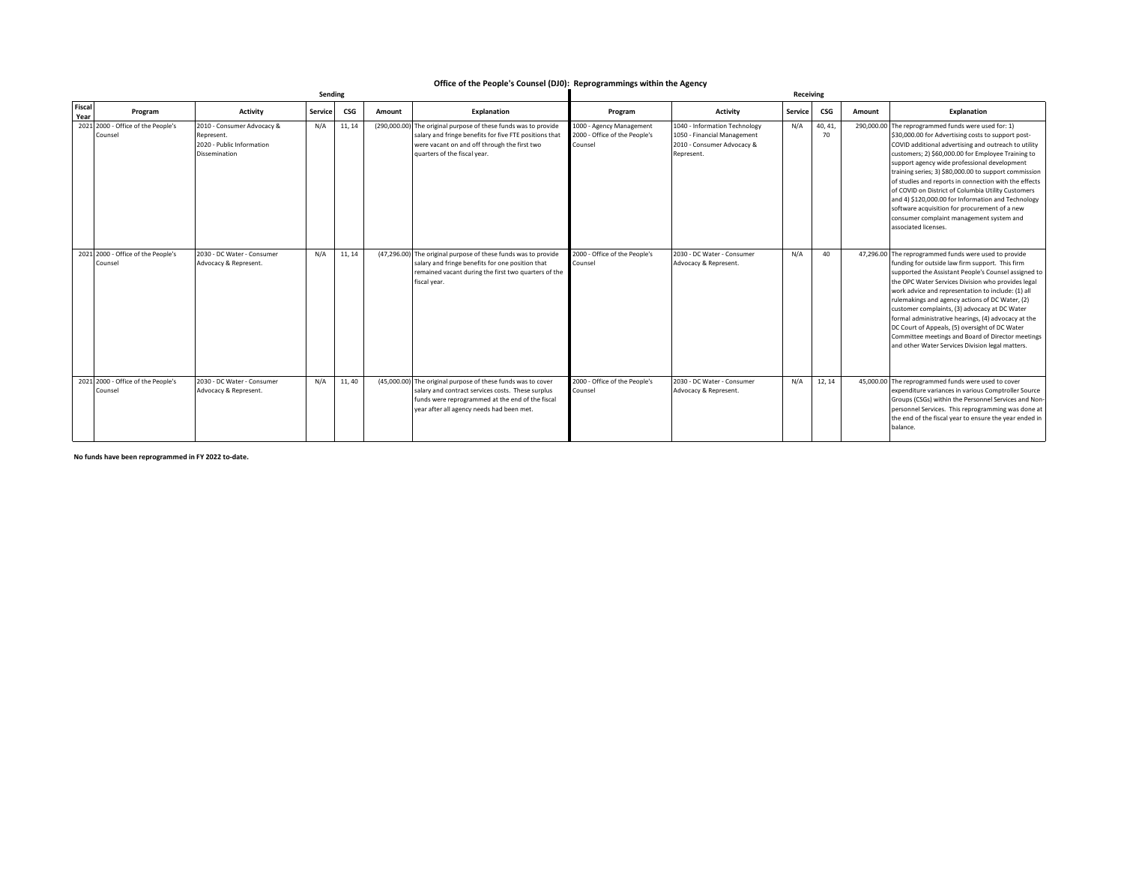## **Office of the People's Counsel (DJ0): Reprogrammings within the Agency**

|                |                                               |                                                                                               |         |            | Receiving |                                                                                                                                                                                                                    |                                                                      |                                                                                                          |                |               |        |                                                                                                                                                                                                                                                                                                                                                                                                                                                                                                                                                                                                                            |
|----------------|-----------------------------------------------|-----------------------------------------------------------------------------------------------|---------|------------|-----------|--------------------------------------------------------------------------------------------------------------------------------------------------------------------------------------------------------------------|----------------------------------------------------------------------|----------------------------------------------------------------------------------------------------------|----------------|---------------|--------|----------------------------------------------------------------------------------------------------------------------------------------------------------------------------------------------------------------------------------------------------------------------------------------------------------------------------------------------------------------------------------------------------------------------------------------------------------------------------------------------------------------------------------------------------------------------------------------------------------------------------|
| Fiscal<br>Year | Program                                       | <b>Activity</b>                                                                               | Service | <b>CSG</b> | Amount    | <b>Explanation</b>                                                                                                                                                                                                 | Program                                                              | <b>Activity</b>                                                                                          | <b>Service</b> | CSG           | Amount | Explanation                                                                                                                                                                                                                                                                                                                                                                                                                                                                                                                                                                                                                |
|                | 2021 2000 - Office of the People's<br>Counsel | 2010 - Consumer Advocacy &<br>Represent.<br>2020 - Public Information<br><b>Dissemination</b> | N/A     | 11, 14     |           | (290,000.00) The original purpose of these funds was to provide<br>salary and fringe benefits for five FTE positions that<br>were vacant on and off through the first two<br>quarters of the fiscal year.          | 1000 - Agency Management<br>2000 - Office of the People's<br>Counsel | 1040 - Information Technology<br>1050 - Financial Management<br>2010 - Consumer Advocacy &<br>Represent. | N/A            | 40, 41,<br>70 |        | 290,000.00 The reprogrammed funds were used for: 1)<br>\$30,000.00 for Advertising costs to support post-<br>COVID additional advertising and outreach to utility<br>customers; 2) \$60,000.00 for Employee Training to<br>support agency wide professional development<br>training series; 3) \$80,000.00 to support commission<br>of studies and reports in connection with the effects<br>of COVID on District of Columbia Utility Customers<br>and 4) \$120,000.00 for Information and Technology<br>software acquisition for procurement of a new<br>consumer complaint management system and<br>associated licenses. |
|                | 2021 2000 - Office of the People's<br>Counsel | 2030 - DC Water - Consumer<br>Advocacy & Represent.                                           | N/A     | 11, 14     |           | (47,296.00) The original purpose of these funds was to provide<br>salary and fringe benefits for one position that<br>remained vacant during the first two quarters of the<br>fiscal year.                         | 2000 - Office of the People's<br>Counsel                             | 2030 - DC Water - Consumer<br>Advocacy & Represent.                                                      | N/A            | 40            |        | 47,296.00 The reprogrammed funds were used to provide<br>funding for outside law firm support. This firm<br>supported the Assistant People's Counsel assigned to<br>the OPC Water Services Division who provides legal<br>work advice and representation to include: (1) all<br>rulemakings and agency actions of DC Water, (2)<br>customer complaints, (3) advocacy at DC Water<br>formal administrative hearings, (4) advocacy at the<br>DC Court of Appeals, (5) oversight of DC Water<br>Committee meetings and Board of Director meetings<br>and other Water Services Division legal matters.                         |
|                | 2021 2000 - Office of the People's<br>Counsel | 2030 - DC Water - Consumer<br>Advocacy & Represent.                                           | N/A     | 11,40      |           | (45,000.00) The original purpose of these funds was to cover<br>salary and contract services costs. These surplus<br>funds were reprogrammed at the end of the fiscal<br>year after all agency needs had been met. | 2000 - Office of the People's<br>Counsel                             | 2030 - DC Water - Consumer<br>Advocacy & Represent.                                                      | N/A            | 12, 14        |        | 45,000.00 The reprogrammed funds were used to cover<br>expenditure variances in various Comptroller Source<br>Groups (CSGs) within the Personnel Services and Non-<br>personnel Services. This reprogramming was done at<br>the end of the fiscal year to ensure the year ended in<br>balance.                                                                                                                                                                                                                                                                                                                             |

**No funds have been reprogrammed in FY 2022 to-date.**